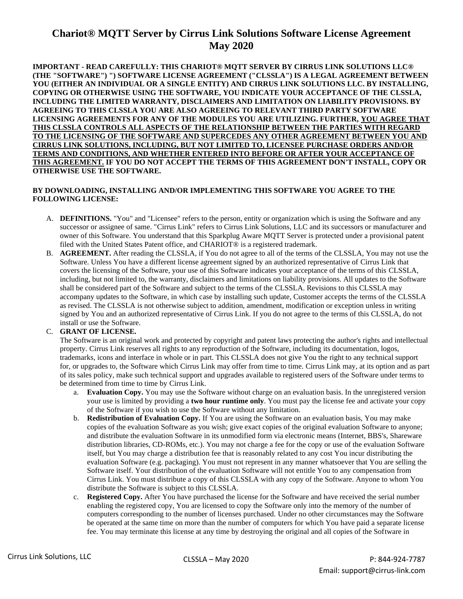## **Chariot® MQTT Server by Cirrus Link Solutions Software License Agreement May 2020**

**IMPORTANT - READ CAREFULLY: THIS CHARIOT® MQTT SERVER BY CIRRUS LINK SOLUTIONS LLC® (THE "SOFTWARE") ") SOFTWARE LICENSE AGREEMENT ("CLSSLA") IS A LEGAL AGREEMENT BETWEEN YOU (EITHER AN INDIVIDUAL OR A SINGLE ENTITY) AND CIRRUS LINK SOLUTIONS LLC. BY INSTALLING, COPYING OR OTHERWISE USING THE SOFTWARE, YOU INDICATE YOUR ACCEPTANCE OF THE CLSSLA, INCLUDING THE LIMITED WARRANTY, DISCLAIMERS AND LIMITATION ON LIABILITY PROVISIONS. BY AGREEING TO THIS CLSSLA YOU ARE ALSO AGREEING TO RELEVANT THIRD PARTY SOFTWARE LICENSING AGREEMENTS FOR ANY OF THE MODULES YOU ARE UTILIZING. FURTHER, YOU AGREE THAT THIS CLSSLA CONTROLS ALL ASPECTS OF THE RELATIONSHIP BETWEEN THE PARTIES WITH REGARD TO THE LICENSING OF THE SOFTWARE AND SUPERCEDES ANY OTHER AGREEMENT BETWEEN YOU AND CIRRUS LINK SOLUTIONS, INCLUDING, BUT NOT LIMITED TO, LICENSEE PURCHASE ORDERS AND/OR TERMS AND CONDITIONS, AND WHETHER ENTERED INTO BEFORE OR AFTER YOUR ACCEPTANCE OF THIS AGREEMENT. IF YOU DO NOT ACCEPT THE TERMS OF THIS AGREEMENT DON'T INSTALL, COPY OR OTHERWISE USE THE SOFTWARE.**

## **BY DOWNLOADING, INSTALLING AND/OR IMPLEMENTING THIS SOFTWARE YOU AGREE TO THE FOLLOWING LICENSE:**

- A. **DEFINITIONS.** "You" and "Licensee" refers to the person, entity or organization which is using the Software and any successor or assignee of same. "Cirrus Link" refers to Cirrus Link Solutions, LLC and its successors or manufacturer and owner of this Software. You understand that this Sparkplug Aware MQTT Server is protected under a provisional patent filed with the United States Patent office, and CHARIOT® is a registered trademark.
- B. **AGREEMENT.** After reading the CLSSLA, if You do not agree to all of the terms of the CLSSLA, You may not use the Software. Unless You have a different license agreement signed by an authorized representative of Cirrus Link that covers the licensing of the Software, your use of this Software indicates your acceptance of the terms of this CLSSLA, including, but not limited to, the warranty, disclaimers and limitations on liability provisions. All updates to the Software shall be considered part of the Software and subject to the terms of the CLSSLA. Revisions to this CLSSLA may accompany updates to the Software, in which case by installing such update, Customer accepts the terms of the CLSSLA as revised. The CLSSLA is not otherwise subject to addition, amendment, modification or exception unless in writing signed by You and an authorized representative of Cirrus Link. If you do not agree to the terms of this CLSSLA, do not install or use the Software.

## C. **GRANT OF LICENSE.**

The Software is an original work and protected by copyright and patent laws protecting the author's rights and intellectual property. Cirrus Link reserves all rights to any reproduction of the Software, including its documentation, logos, trademarks, icons and interface in whole or in part. This CLSSLA does not give You the right to any technical support for, or upgrades to, the Software which Cirrus Link may offer from time to time. Cirrus Link may, at its option and as part of its sales policy, make such technical support and upgrades available to registered users of the Software under terms to be determined from time to time by Cirrus Link.

- a. **Evaluation Copy.** You may use the Software without charge on an evaluation basis. In the unregistered version your use is limited by providing a **two hour runtime only**. You must pay the license fee and activate your copy of the Software if you wish to use the Software without any limitation.
- b. **Redistribution of Evaluation Copy.** If You are using the Software on an evaluation basis, You may make copies of the evaluation Software as you wish; give exact copies of the original evaluation Software to anyone; and distribute the evaluation Software in its unmodified form via electronic means (Internet, BBS's, Shareware distribution libraries, CD-ROMs, etc.). You may not charge a fee for the copy or use of the evaluation Software itself, but You may charge a distribution fee that is reasonably related to any cost You incur distributing the evaluation Software (e.g. packaging). You must not represent in any manner whatsoever that You are selling the Software itself. Your distribution of the evaluation Software will not entitle You to any compensation from Cirrus Link. You must distribute a copy of this CLSSLA with any copy of the Software. Anyone to whom You distribute the Software is subject to this CLSSLA.
- c. **Registered Copy.** After You have purchased the license for the Software and have received the serial number enabling the registered copy, You are licensed to copy the Software only into the memory of the number of computers corresponding to the number of licenses purchased. Under no other circumstances may the Software be operated at the same time on more than the number of computers for which You have paid a separate license fee. You may terminate this license at any time by destroying the original and all copies of the Software in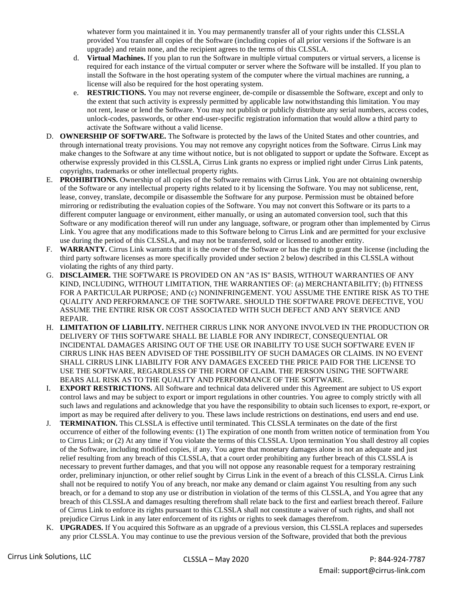whatever form you maintained it in. You may permanently transfer all of your rights under this CLSSLA provided You transfer all copies of the Software (including copies of all prior versions if the Software is an upgrade) and retain none, and the recipient agrees to the terms of this CLSSLA.

- d. **Virtual Machines.** If you plan to run the Software in multiple virtual computers or virtual servers, a license is required for each instance of the virtual computer or server where the Software will be installed. If you plan to install the Software in the host operating system of the computer where the virtual machines are running, a license will also be required for the host operating system.
- e. **RESTRICTIONS.** You may not reverse engineer, de-compile or disassemble the Software, except and only to the extent that such activity is expressly permitted by applicable law notwithstanding this limitation. You may not rent, lease or lend the Software. You may not publish or publicly distribute any serial numbers, access codes, unlock-codes, passwords, or other end-user-specific registration information that would allow a third party to activate the Software without a valid license.
- D. **OWNERSHIP OF SOFTWARE.** The Software is protected by the laws of the United States and other countries, and through international treaty provisions. You may not remove any copyright notices from the Software. Cirrus Link may make changes to the Software at any time without notice, but is not obligated to support or update the Software. Except as otherwise expressly provided in this CLSSLA, Cirrus Link grants no express or implied right under Cirrus Link patents, copyrights, trademarks or other intellectual property rights.
- E. **PROHIBITIONS.** Ownership of all copies of the Software remains with Cirrus Link. You are not obtaining ownership of the Software or any intellectual property rights related to it by licensing the Software. You may not sublicense, rent, lease, convey, translate, decompile or disassemble the Software for any purpose. Permission must be obtained before mirroring or redistributing the evaluation copies of the Software. You may not convert this Software or its parts to a different computer language or environment, either manually, or using an automated conversion tool, such that this Software or any modification thereof will run under any language, software, or program other than implemented by Cirrus Link. You agree that any modifications made to this Software belong to Cirrus Link and are permitted for your exclusive use during the period of this CLSSLA, and may not be transferred, sold or licensed to another entity.
- F. **WARRANTY.** Cirrus Link warrants that it is the owner of the Software or has the right to grant the license (including the third party software licenses as more specifically provided under section 2 below) described in this CLSSLA without violating the rights of any third party.
- G. **DISCLAIMER.** THE SOFTWARE IS PROVIDED ON AN "AS IS" BASIS, WITHOUT WARRANTIES OF ANY KIND, INCLUDING, WITHOUT LIMITATION, THE WARRANTIES OF: (a) MERCHANTABILITY; (b) FITNESS FOR A PARTICULAR PURPOSE; AND (c) NONINFRINGEMENT. YOU ASSUME THE ENTIRE RISK AS TO THE QUALITY AND PERFORMANCE OF THE SOFTWARE. SHOULD THE SOFTWARE PROVE DEFECTIVE, YOU ASSUME THE ENTIRE RISK OR COST ASSOCIATED WITH SUCH DEFECT AND ANY SERVICE AND REPAIR.
- H. **LIMITATION OF LIABILITY.** NEITHER CIRRUS LINK NOR ANYONE INVOLVED IN THE PRODUCTION OR DELIVERY OF THIS SOFTWARE SHALL BE LIABLE FOR ANY INDIRECT, CONSEQUENTIAL OR INCIDENTAL DAMAGES ARISING OUT OF THE USE OR INABILITY TO USE SUCH SOFTWARE EVEN IF CIRRUS LINK HAS BEEN ADVISED OF THE POSSIBILITY OF SUCH DAMAGES OR CLAIMS. IN NO EVENT SHALL CIRRUS LINK LIABILITY FOR ANY DAMAGES EXCEED THE PRICE PAID FOR THE LICENSE TO USE THE SOFTWARE, REGARDLESS OF THE FORM OF CLAIM. THE PERSON USING THE SOFTWARE BEARS ALL RISK AS TO THE QUALITY AND PERFORMANCE OF THE SOFTWARE.
- I. **EXPORT RESTRICTIONS.** All Software and technical data delivered under this Agreement are subject to US export control laws and may be subject to export or import regulations in other countries. You agree to comply strictly with all such laws and regulations and acknowledge that you have the responsibility to obtain such licenses to export, re-export, or import as may be required after delivery to you. These laws include restrictions on destinations, end users and end use.
- J. **TERMINATION.** This CLSSLA is effective until terminated. This CLSSLA terminates on the date of the first occurrence of either of the following events: (1) The expiration of one month from written notice of termination from You to Cirrus Link; or (2) At any time if You violate the terms of this CLSSLA. Upon termination You shall destroy all copies of the Software, including modified copies, if any. You agree that monetary damages alone is not an adequate and just relief resulting from any breach of this CLSSLA, that a court order prohibiting any further breach of this CLSSLA is necessary to prevent further damages, and that you will not oppose any reasonable request for a temporary restraining order, preliminary injunction, or other relief sought by Cirrus Link in the event of a breach of this CLSSLA. Cirrus Link shall not be required to notify You of any breach, nor make any demand or claim against You resulting from any such breach, or for a demand to stop any use or distribution in violation of the terms of this CLSSLA, and You agree that any breach of this CLSSLA and damages resulting therefrom shall relate back to the first and earliest breach thereof. Failure of Cirrus Link to enforce its rights pursuant to this CLSSLA shall not constitute a waiver of such rights, and shall not prejudice Cirrus Link in any later enforcement of its rights or rights to seek damages therefrom.
- K. **UPGRADES.** If You acquired this Software as an upgrade of a previous version, this CLSSLA replaces and supersedes any prior CLSSLA. You may continue to use the previous version of the Software, provided that both the previous